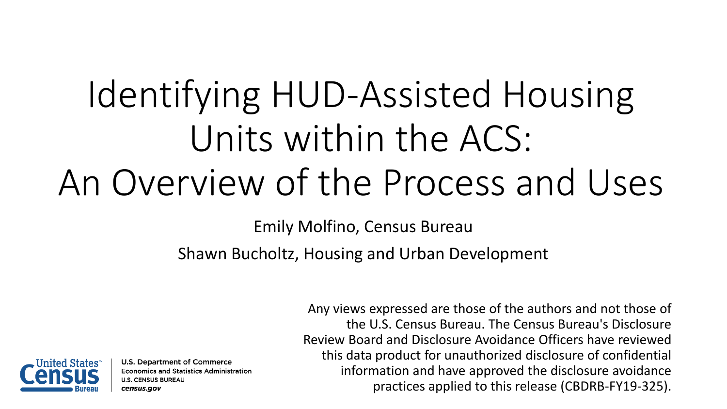# Identifying HUD-Assisted Housing Units within the ACS: An Overview of the Process and Uses

Emily Molfino, Census Bureau

Shawn Bucholtz, Housing and Urban Development



U.S. Department of Commerce **Economics and Statistics Administration U.S. CENSUS BUREAU** census.gov

**1** practices applied to this release (CBDRB-FY19-325).Any views expressed are those of the authors and not those of the U.S. Census Bureau. The Census Bureau's Disclosure Review Board and Disclosure Avoidance Officers have reviewed this data product for unauthorized disclosure of confidential information and have approved the disclosure avoidance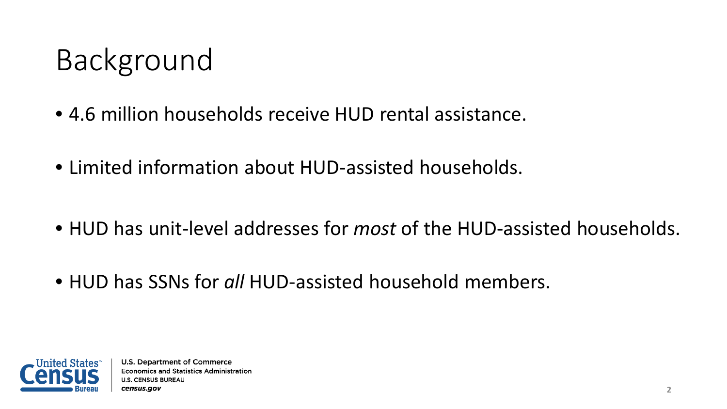### Background

- 4.6 million households receive HUD rental assistance.
- Limited information about HUD-assisted households.
- HUD has unit-level addresses for *most* of the HUD-assisted households.
- HUD has SSNs for *all* HUD-assisted household members.

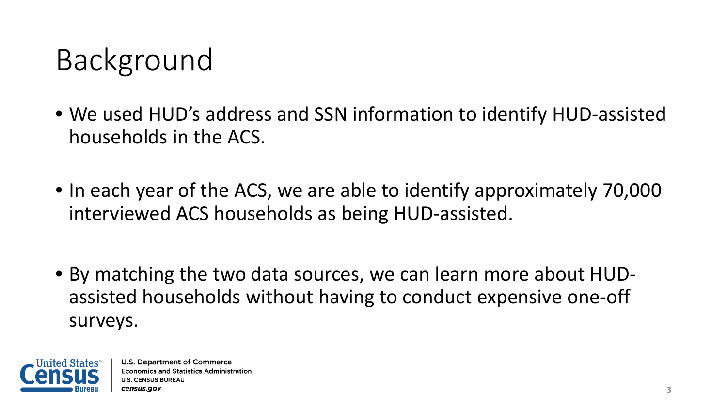#### Background

- We used HUD's address and SSN information to identify HUD-assisted households in the ACS.
- In each year of the ACS, we are able to identify approximately 70,000 interviewed ACS households as being HUD-assisted.
- By matching the two data sources, we can learn more about HUDassisted households without having to conduct expensive one-off surveys.

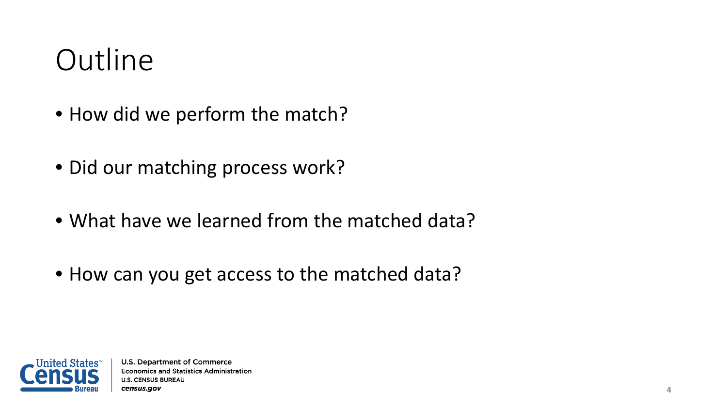#### **Outline**

- How did we perform the match?
- Did our matching process work?
- What have we learned from the matched data?
- How can you get access to the matched data?

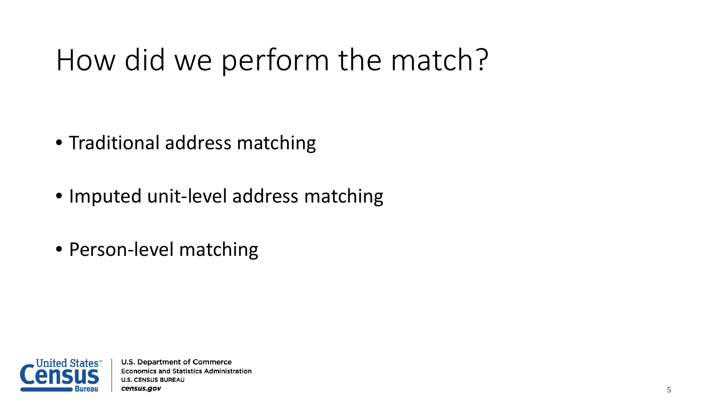- Traditional address matching
- Imputed unit-level address matching
- Person-level matching

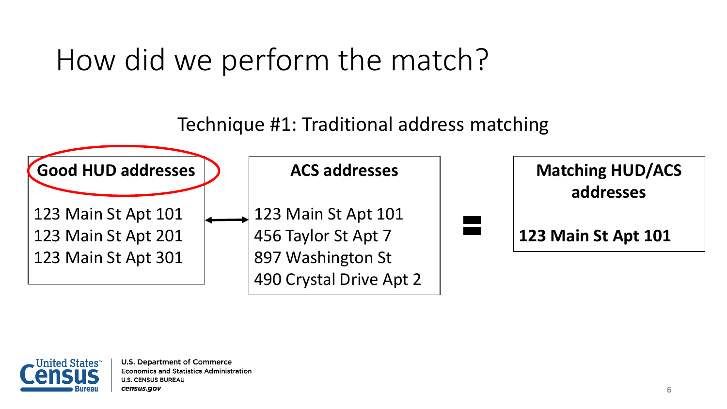Technique #1: Traditional address matching



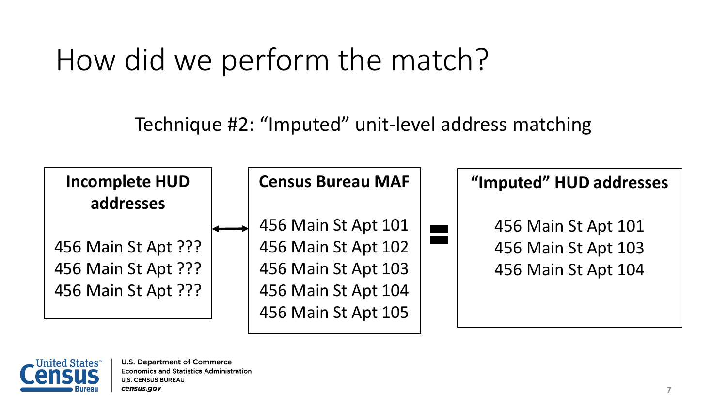Technique #2: "Imputed" unit-level address matching



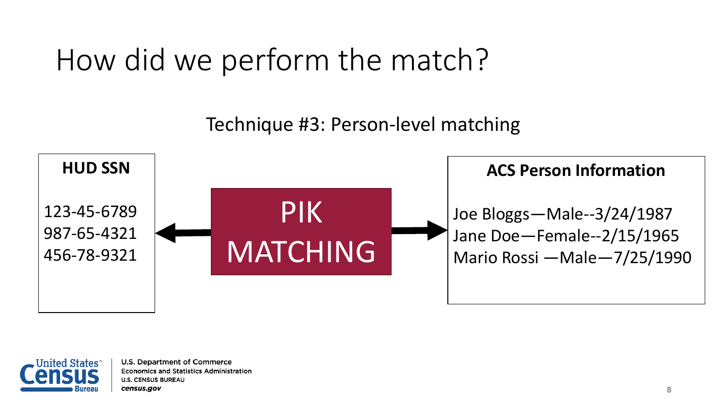Technique #3: Person-level matching



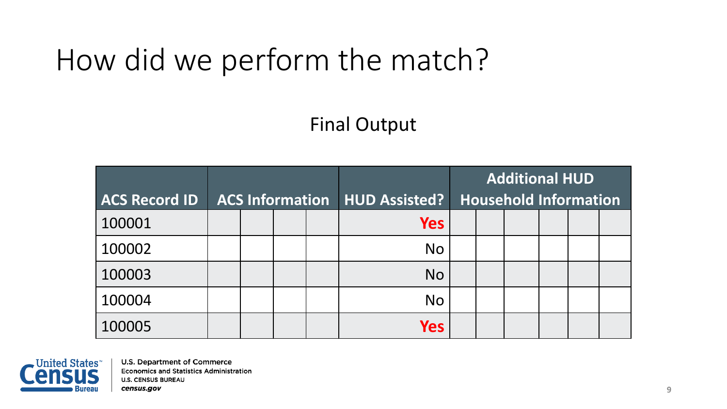#### Final Output

| <b>ACS Record ID</b> |  |  | <b>ACS Information   HUD Assisted?  </b> | <b>Additional HUD</b><br><b>Household Information</b> |  |  |  |  |
|----------------------|--|--|------------------------------------------|-------------------------------------------------------|--|--|--|--|
| 100001               |  |  | <b>Yes</b>                               |                                                       |  |  |  |  |
| 100002               |  |  | N <sub>O</sub>                           |                                                       |  |  |  |  |
| 100003               |  |  | N <sub>O</sub>                           |                                                       |  |  |  |  |
| 100004               |  |  | N <sub>O</sub>                           |                                                       |  |  |  |  |
| 100005               |  |  | <b>Yes</b>                               |                                                       |  |  |  |  |

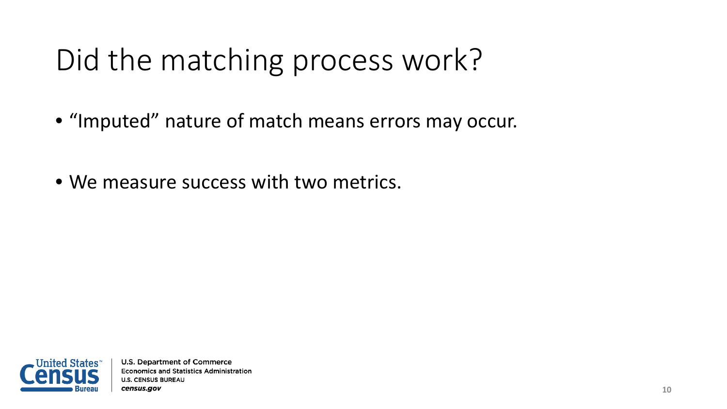- "Imputed" nature of match means errors may occur.
- We measure success with two metrics.

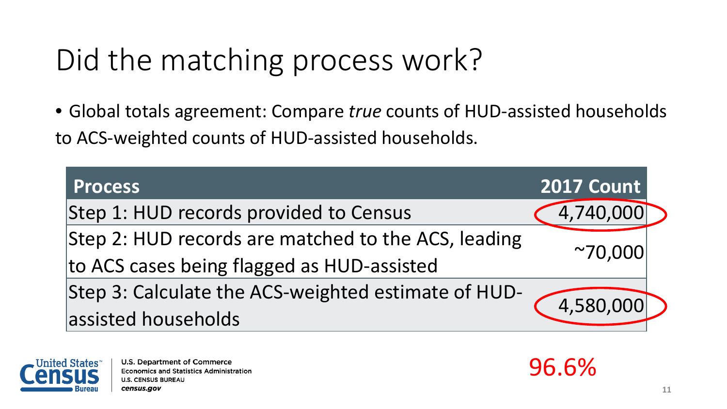• Global totals agreement: Compare *true* counts of HUD-assisted households to ACS-weighted counts of HUD-assisted households.

| <b>Process</b>                                                   | <b>2017 Count</b> |  |
|------------------------------------------------------------------|-------------------|--|
| Step 1: HUD records provided to Census                           | 4,740,000         |  |
| Step 2: HUD records are matched to the ACS, leading              |                   |  |
| to ACS cases being flagged as HUD-assisted                       | $^{\sim}70,000$   |  |
| Step 3: Calculate the ACS-weighted estimate of HUD-<br>4,580,000 |                   |  |
| assisted households                                              |                   |  |



**U.S. Department of Commerce Economics and Statistics Administration U.S. CENSUS BUREAU** census.gov

96.6%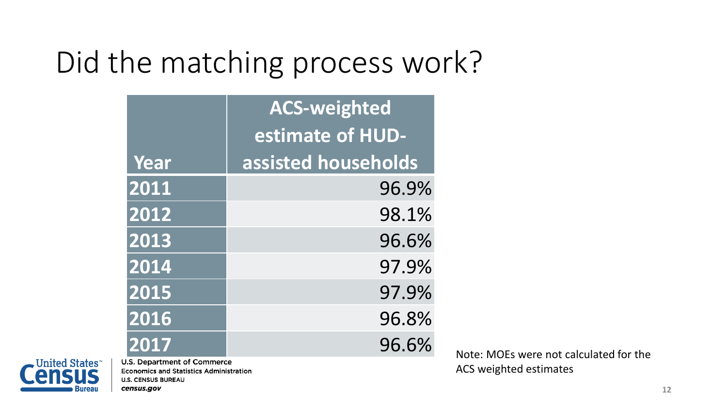|      | <b>ACS-weighted</b> |  |  |  |  |
|------|---------------------|--|--|--|--|
|      | estimate of HUD-    |  |  |  |  |
| Year | assisted households |  |  |  |  |
| 2011 | 96.9%               |  |  |  |  |
| 2012 | 98.1%               |  |  |  |  |
| 2013 | 96.6%               |  |  |  |  |
| 2014 | 97.9%               |  |  |  |  |
| 2015 | 97.9%               |  |  |  |  |
| 2016 | 96.8%               |  |  |  |  |
| 2017 | 96.6%               |  |  |  |  |



**Economics and Statistics Administration U.S. CENSUS BUREAU** census.gov

**2017** 96.6 Note: MOEs were not calculated for the U.S. Department of Commerce ACS weighted estimates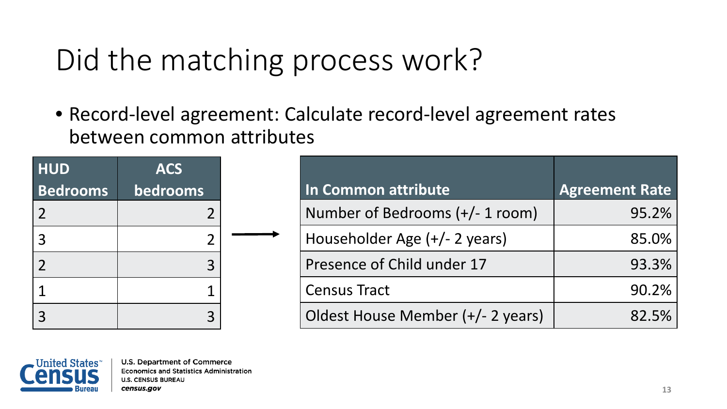• Record-level agreement: Calculate record-level agreement rates between common attributes

| <b>HUD</b>      | <b>ACS</b>     |  |
|-----------------|----------------|--|
| <b>Bedrooms</b> | bedrooms       |  |
| $\overline{2}$  | $\overline{2}$ |  |
| 3               | $\overline{2}$ |  |
| $\overline{2}$  | 3              |  |
| 1               |                |  |
| 3               | 3              |  |

| In Common attribute               | <b>Agreement Rate</b> |
|-----------------------------------|-----------------------|
| Number of Bedrooms (+/- 1 room)   | 95.2%                 |
| Householder Age (+/- 2 years)     | 85.0%                 |
| Presence of Child under 17        | 93.3%                 |
| <b>Census Tract</b>               | 90.2%                 |
| Oldest House Member (+/- 2 years) | 82.5%                 |

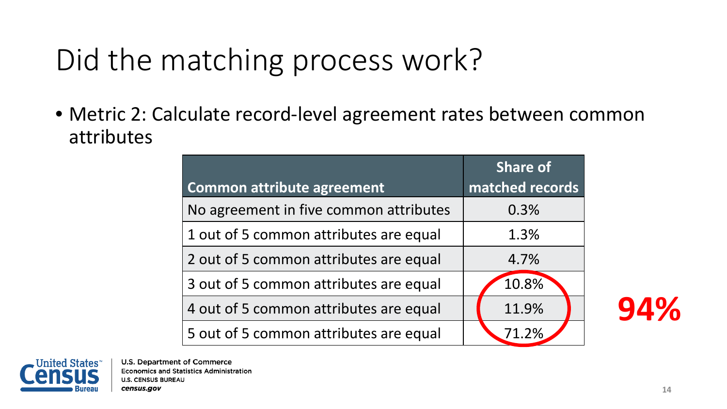• Metric 2: Calculate record-level agreement rates between common attributes

|                                        | <b>Share of</b> |  |  |
|----------------------------------------|-----------------|--|--|
| <b>Common attribute agreement</b>      | matched records |  |  |
| No agreement in five common attributes | 0.3%            |  |  |
| 1 out of 5 common attributes are equal | 1.3%            |  |  |
| 2 out of 5 common attributes are equal | 4.7%            |  |  |
| 3 out of 5 common attributes are equal | 10.8%           |  |  |
| 4 out of 5 common attributes are equal | 11.9%           |  |  |
| 5 out of 5 common attributes are equal | 71.2%           |  |  |

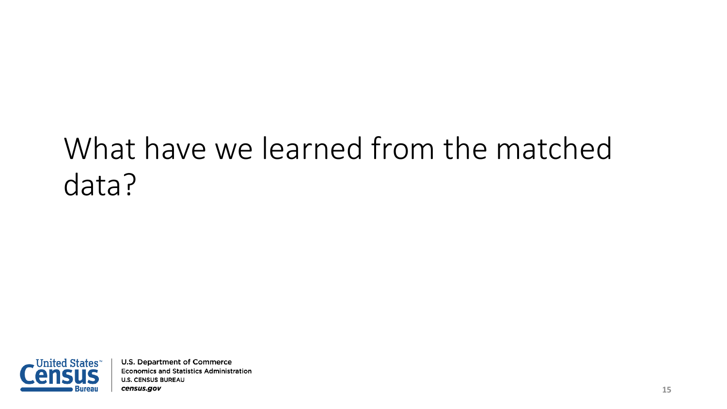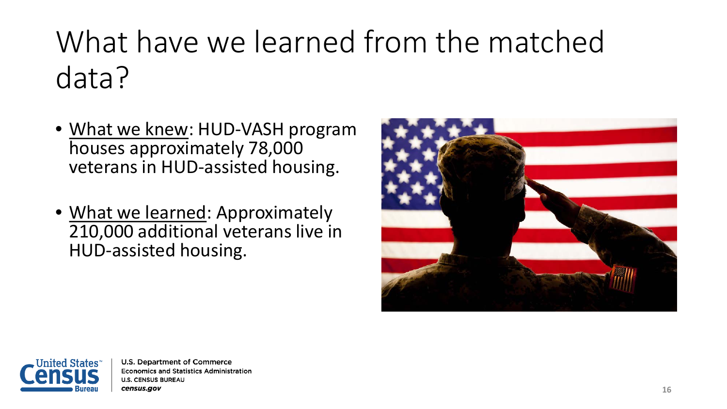- What we knew: HUD-VASH program houses approximately 78,000 veterans in HUD-assisted housing.
- What we learned: Approximately 210,000 additional veterans live in HUD-assisted housing.



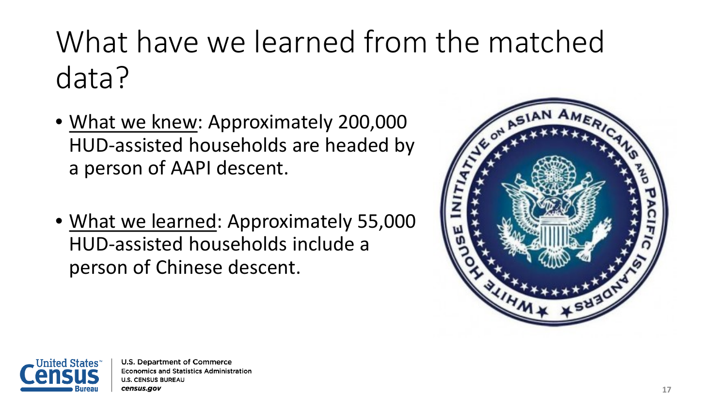- What we knew: Approximately 200,000 HUD-assisted households are headed by a person of AAPI descent.
- What we learned: Approximately 55,000 HUD-assisted households include a person of Chinese descent.



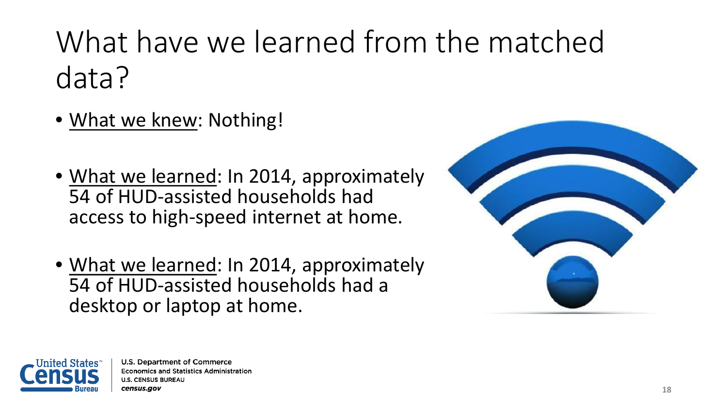- What we knew: Nothing!
- What we learned: In 2014, approximately 54 of HUD-assisted households had access to high-speed internet at home.
- What we learned: In 2014, approximately 54 of HUD-assisted households had a desktop or laptop at home.



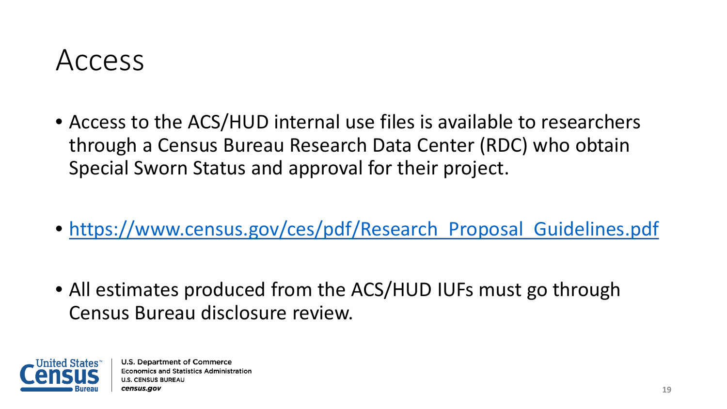#### Access

- Access to the ACS/HUD internal use files is available to researchers through a Census Bureau Research Data Center (RDC) who obtain Special Sworn Status and approval for their project.
- https://www.census.gov/ces/pdf/Research Proposal Guidelines.pdf
- All estimates produced from the ACS/HUD IUFs must go through Census Bureau disclosure review.

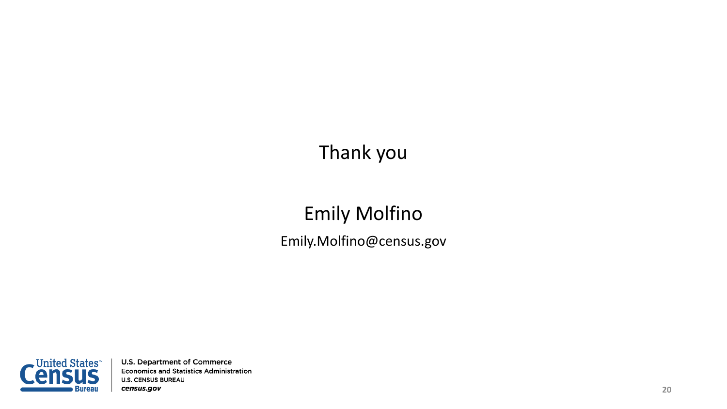#### Thank you

#### Emily Molfino Emily.Molfino@census.gov

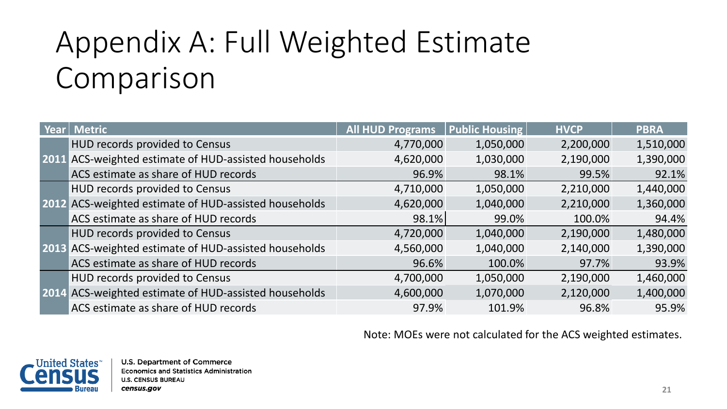## Appendix A: Full Weighted Estimate Comparison

| Year | <b>Metric</b>                                         | <b>All HUD Programs</b> | <b>Public Housing</b> | <b>HVCP</b> | <b>PBRA</b> |
|------|-------------------------------------------------------|-------------------------|-----------------------|-------------|-------------|
|      | HUD records provided to Census                        | 4,770,000               | 1,050,000             | 2,200,000   | 1,510,000   |
|      | 2011 ACS-weighted estimate of HUD-assisted households | 4,620,000               | 1,030,000             | 2,190,000   | 1,390,000   |
|      | ACS estimate as share of HUD records                  | 96.9%                   | 98.1%                 | 99.5%       | 92.1%       |
|      | HUD records provided to Census                        | 4,710,000               | 1,050,000             | 2,210,000   | 1,440,000   |
|      | 2012 ACS-weighted estimate of HUD-assisted households | 4,620,000               | 1,040,000             | 2,210,000   | 1,360,000   |
|      | ACS estimate as share of HUD records                  | 98.1%                   | 99.0%                 | 100.0%      | 94.4%       |
|      | HUD records provided to Census                        | 4,720,000               | 1,040,000             | 2,190,000   | 1,480,000   |
|      | 2013 ACS-weighted estimate of HUD-assisted households | 4,560,000               | 1,040,000             | 2,140,000   | 1,390,000   |
|      | ACS estimate as share of HUD records                  | 96.6%                   | 100.0%                | 97.7%       | 93.9%       |
|      | HUD records provided to Census                        | 4,700,000               | 1,050,000             | 2,190,000   | 1,460,000   |
|      | 2014 ACS-weighted estimate of HUD-assisted households | 4,600,000               | 1,070,000             | 2,120,000   | 1,400,000   |
|      | ACS estimate as share of HUD records                  | 97.9%                   | 101.9%                | 96.8%       | 95.9%       |

Note: MOEs were not calculated for the ACS weighted estimates.